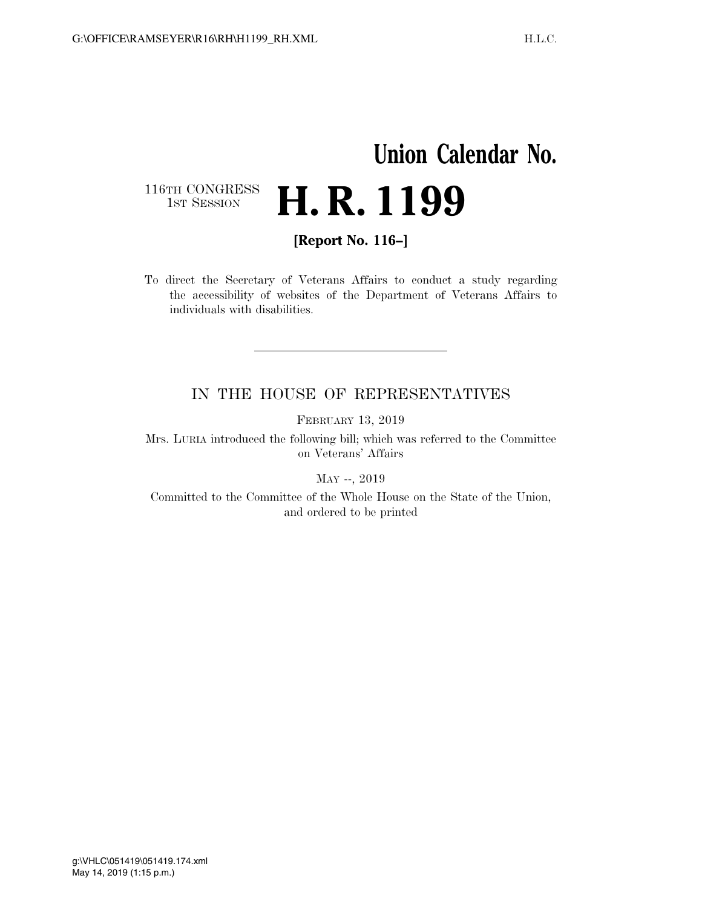## **Union Calendar No.**  116TH CONGRESS<br>1st Session H. R. 1199

**[Report No. 116–]** 

To direct the Secretary of Veterans Affairs to conduct a study regarding the accessibility of websites of the Department of Veterans Affairs to individuals with disabilities.

## IN THE HOUSE OF REPRESENTATIVES

FEBRUARY 13, 2019

Mrs. LURIA introduced the following bill; which was referred to the Committee on Veterans' Affairs

MAY --, 2019

Committed to the Committee of the Whole House on the State of the Union, and ordered to be printed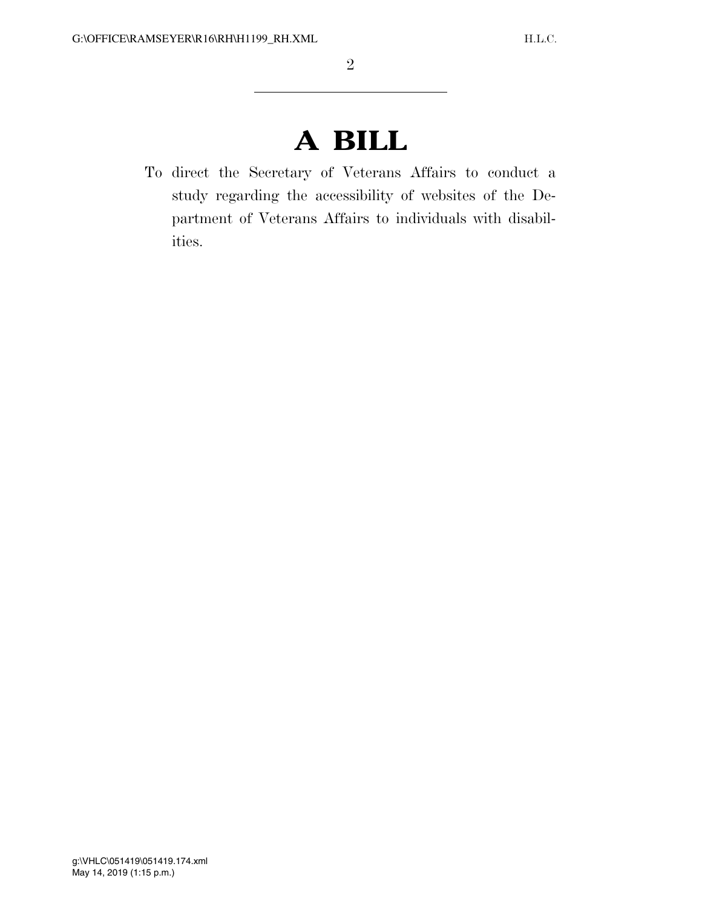## **A BILL**

To direct the Secretary of Veterans Affairs to conduct a study regarding the accessibility of websites of the Department of Veterans Affairs to individuals with disabilities.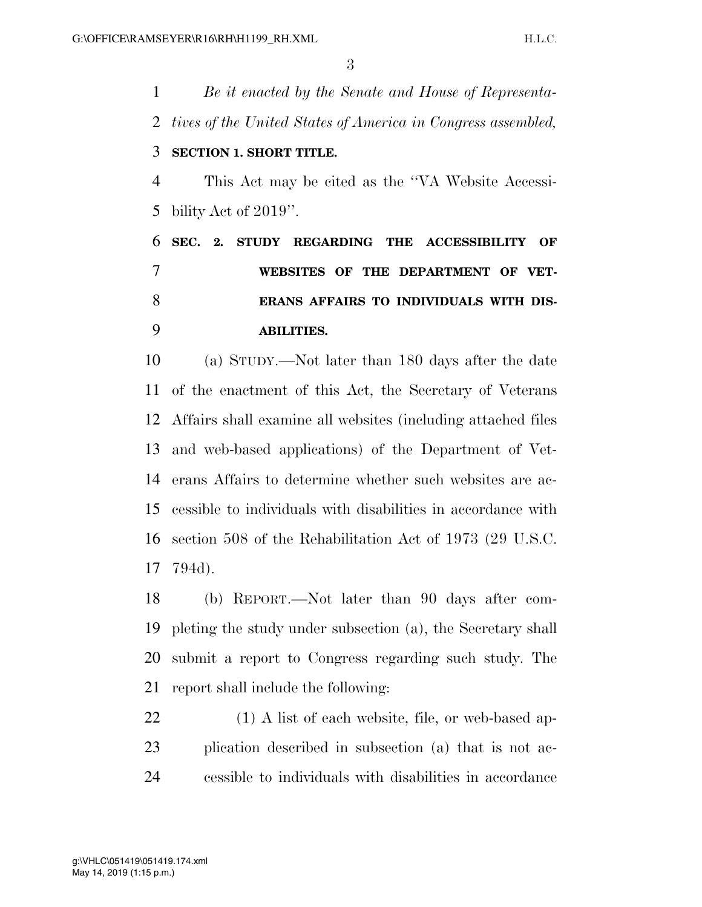*Be it enacted by the Senate and House of Representa- tives of the United States of America in Congress assembled,*  **SECTION 1. SHORT TITLE.**  This Act may be cited as the ''VA Website Accessi- bility Act of 2019''. **SEC. 2. STUDY REGARDING THE ACCESSIBILITY OF WEBSITES OF THE DEPARTMENT OF VET- ERANS AFFAIRS TO INDIVIDUALS WITH DIS-ABILITIES.** 

 (a) STUDY.—Not later than 180 days after the date of the enactment of this Act, the Secretary of Veterans Affairs shall examine all websites (including attached files and web-based applications) of the Department of Vet- erans Affairs to determine whether such websites are ac- cessible to individuals with disabilities in accordance with section 508 of the Rehabilitation Act of 1973 (29 U.S.C. 794d).

 (b) REPORT.—Not later than 90 days after com- pleting the study under subsection (a), the Secretary shall submit a report to Congress regarding such study. The report shall include the following:

22 (1) A list of each website, file, or web-based ap- plication described in subsection (a) that is not ac-cessible to individuals with disabilities in accordance